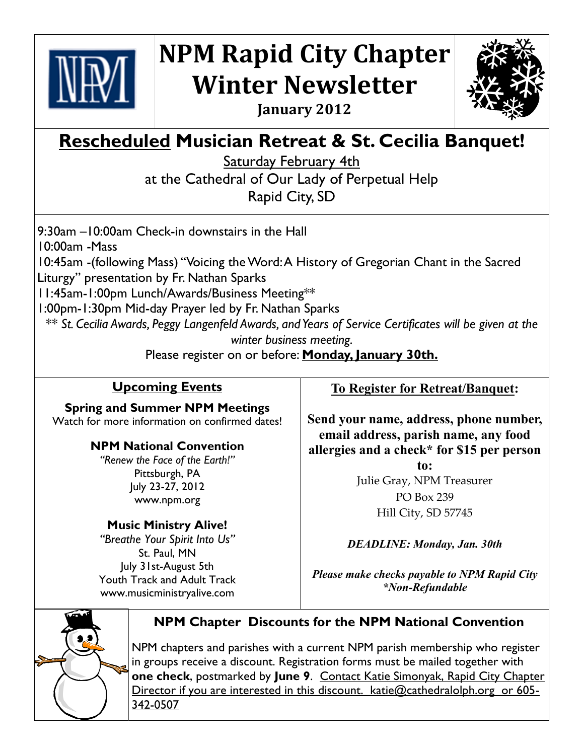

## **NPM Rapid City Chapter Winter Newsletter January 2012**



# **Rescheduled Musician Retreat & St. Cecilia Banquet!**

Saturday February 4th

at the Cathedral of Our Lady of Perpetual Help Rapid City, SD

9:30am –10:00am Check-in downstairs in the Hall 10:00am -Mass 10:45am -(following Mass) "Voicing the Word: A History of Gregorian Chant in the Sacred Liturgy" presentation by Fr. Nathan Sparks 11:45am-1:00pm Lunch/Awards/Business Meeting\*\* 1:00pm-1:30pm Mid-day Prayer led by Fr. Nathan Sparks *\*\* St. Cecilia Awards, Peggy Langenfeld Awards, and Years of Service Certificates will be given at the* 

*winter business meeting.*

Please register on or before: **Monday, January 30th.**

### **Upcoming Events**

**Spring and Summer NPM Meetings** Watch for more information on confirmed dates!

#### **NPM National Convention**

*"Renew the Face of the Earth!"* Pittsburgh, PA July 23-27, 2012 www.npm.org

#### **Music Ministry Alive!**

*"Breathe Your Spirit Into Us"* St. Paul, MN July 31st-August 5th Youth Track and Adult Track www.musicministryalive.com

#### **To Register for Retreat/Banquet:**

**Send your name, address, phone number, email address, parish name, any food allergies and a check\* for \$15 per person** 

> **to:** Julie Gray, NPM Treasurer PO Box 239 Hill City, SD 57745

*DEADLINE: Monday, Jan. 30th*

*Please make checks payable to NPM Rapid City \*Non-Refundable*



#### **NPM Chapter Discounts for the NPM National Convention**

NPM chapters and parishes with a current NPM parish membership who register in groups receive a discount. Registration forms must be mailed together with **one check**, postmarked by **June 9**. Contact Katie Simonyak, Rapid City Chapter Director if you are interested in this discount. katie@cathedralolph.org or 605-342-0507